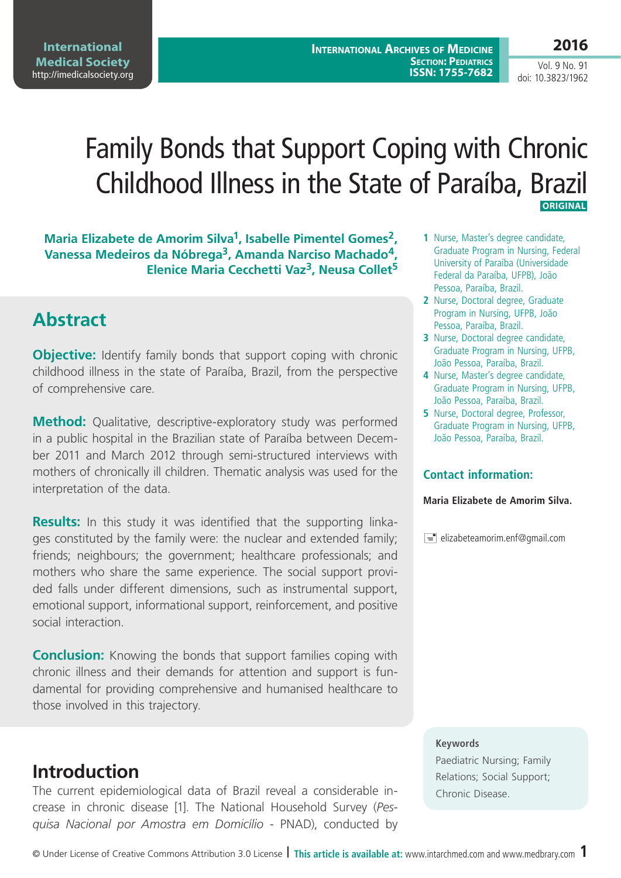**2016**

Vol. 9 No. 91 doi: 10.3823/1962

# Family Bonds that Support Coping with Chronic Childhood Illness in the State of Paraíba, Brazil  **Original**

**Maria Elizabete de Amorim Silva1, Isabelle Pimentel Gomes2, Vanessa Medeiros da Nóbrega3, Amanda Narciso Machado4, Elenice Maria Cecchetti Vaz3, Neusa Collet5**

# **Abstract**

**Objective:** Identify family bonds that support coping with chronic childhood illness in the state of Paraíba, Brazil, from the perspective of comprehensive care.

**Method:** Qualitative, descriptive-exploratory study was performed in a public hospital in the Brazilian state of Paraíba between December 2011 and March 2012 through semi-structured interviews with mothers of chronically ill children. Thematic analysis was used for the interpretation of the data.

**Results:** In this study it was identified that the supporting linkages constituted by the family were: the nuclear and extended family; friends; neighbours; the government; healthcare professionals; and mothers who share the same experience. The social support provided falls under different dimensions, such as instrumental support, emotional support, informational support, reinforcement, and positive social interaction.

**Conclusion:** Knowing the bonds that support families coping with chronic illness and their demands for attention and support is fundamental for providing comprehensive and humanised healthcare to those involved in this trajectory.

## **Introduction**

The current epidemiological data of Brazil reveal a considerable increase in chronic disease [1]. The National Household Survey (*Pesquisa Nacional por Amostra em Domicílio* - PNAD), conducted by

- **1** Nurse, Master's degree candidate, Graduate Program in Nursing, Federal University of Paraíba (Universidade Federal da Paraíba, UFPB), João Pessoa, Paraíba, Brazil.
- **2** Nurse, Doctoral degree, Graduate Program in Nursing, UFPB, João Pessoa, Paraíba, Brazil.
- **3** Nurse, Doctoral degree candidate, Graduate Program in Nursing, UFPB, João Pessoa, Paraíba, Brazil.
- **4** Nurse, Master's degree candidate, Graduate Program in Nursing, UFPB, João Pessoa, Paraíba, Brazil.
- **5** Nurse, Doctoral degree, Professor, Graduate Program in Nursing, UFPB, João Pessoa, Paraíba, Brazil.

#### **Contact information:**

#### **Maria Elizabete de Amorim Silva.**

 $\equiv$  elizabeteamorim.enf@gmail.com

#### **Keywords**

Paediatric Nursing; Family Relations; Social Support; Chronic Disease.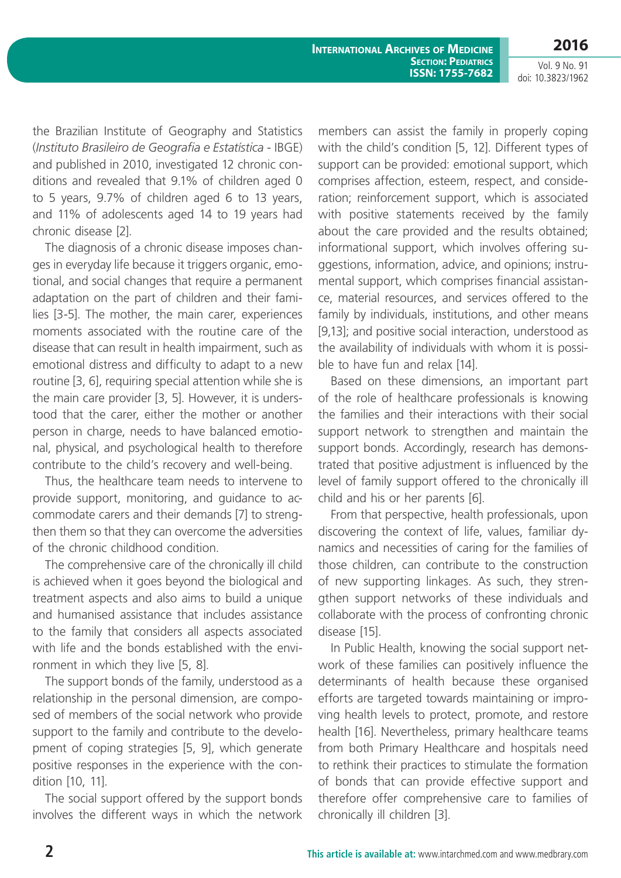**2016**

Vol. 9 No. 91 doi: 10.3823/1962

the Brazilian Institute of Geography and Statistics (*Instituto Brasileiro de Geografia e Estatística* - IBGE) and published in 2010, investigated 12 chronic conditions and revealed that 9.1% of children aged 0 to 5 years, 9.7% of children aged 6 to 13 years, and 11% of adolescents aged 14 to 19 years had chronic disease [2].

The diagnosis of a chronic disease imposes changes in everyday life because it triggers organic, emotional, and social changes that require a permanent adaptation on the part of children and their families [3-5]. The mother, the main carer, experiences moments associated with the routine care of the disease that can result in health impairment, such as emotional distress and difficulty to adapt to a new routine [3, 6], requiring special attention while she is the main care provider [3, 5]. However, it is understood that the carer, either the mother or another person in charge, needs to have balanced emotional, physical, and psychological health to therefore contribute to the child's recovery and well-being.

Thus, the healthcare team needs to intervene to provide support, monitoring, and guidance to accommodate carers and their demands [7] to strengthen them so that they can overcome the adversities of the chronic childhood condition.

The comprehensive care of the chronically ill child is achieved when it goes beyond the biological and treatment aspects and also aims to build a unique and humanised assistance that includes assistance to the family that considers all aspects associated with life and the bonds established with the environment in which they live [5, 8].

The support bonds of the family, understood as a relationship in the personal dimension, are composed of members of the social network who provide support to the family and contribute to the development of coping strategies [5, 9], which generate positive responses in the experience with the condition [10, 11].

The social support offered by the support bonds involves the different ways in which the network members can assist the family in properly coping with the child's condition [5, 12]. Different types of support can be provided: emotional support, which comprises affection, esteem, respect, and consideration; reinforcement support, which is associated with positive statements received by the family about the care provided and the results obtained; informational support, which involves offering suggestions, information, advice, and opinions; instrumental support, which comprises financial assistance, material resources, and services offered to the family by individuals, institutions, and other means [9,13]; and positive social interaction, understood as the availability of individuals with whom it is possible to have fun and relax [14].

Based on these dimensions, an important part of the role of healthcare professionals is knowing the families and their interactions with their social support network to strengthen and maintain the support bonds. Accordingly, research has demonstrated that positive adjustment is influenced by the level of family support offered to the chronically ill child and his or her parents [6].

From that perspective, health professionals, upon discovering the context of life, values, familiar dynamics and necessities of caring for the families of those children, can contribute to the construction of new supporting linkages. As such, they strengthen support networks of these individuals and collaborate with the process of confronting chronic disease [15].

In Public Health, knowing the social support network of these families can positively influence the determinants of health because these organised efforts are targeted towards maintaining or improving health levels to protect, promote, and restore health [16]. Nevertheless, primary healthcare teams from both Primary Healthcare and hospitals need to rethink their practices to stimulate the formation of bonds that can provide effective support and therefore offer comprehensive care to families of chronically ill children [3].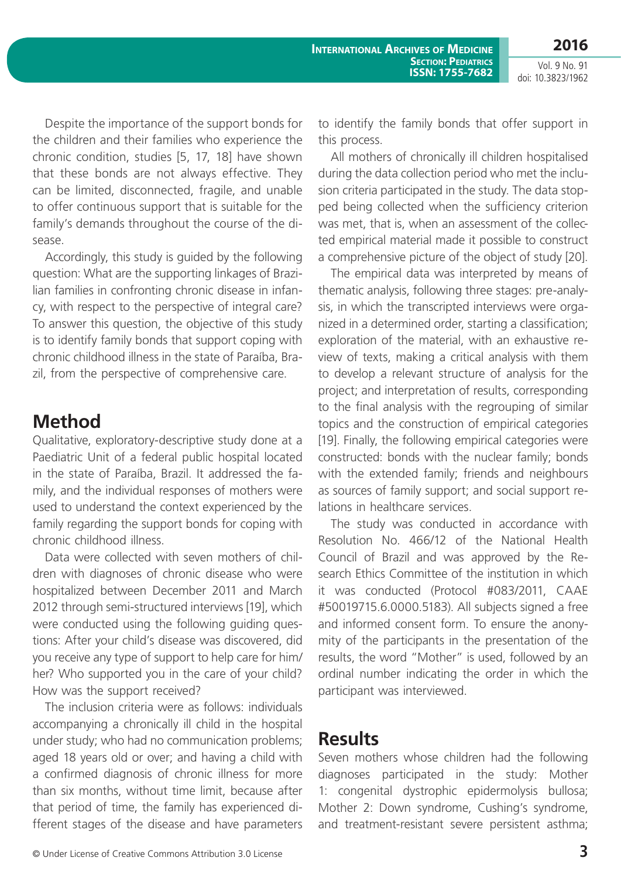Despite the importance of the support bonds for the children and their families who experience the chronic condition, studies [5, 17, 18] have shown that these bonds are not always effective. They can be limited, disconnected, fragile, and unable to offer continuous support that is suitable for the family's demands throughout the course of the disease.

Accordingly, this study is guided by the following question: What are the supporting linkages of Brazilian families in confronting chronic disease in infancy, with respect to the perspective of integral care? To answer this question, the objective of this study is to identify family bonds that support coping with chronic childhood illness in the state of Paraíba, Brazil, from the perspective of comprehensive care.

# **Method**

Qualitative, exploratory-descriptive study done at a Paediatric Unit of a federal public hospital located in the state of Paraíba, Brazil. It addressed the family, and the individual responses of mothers were used to understand the context experienced by the family regarding the support bonds for coping with chronic childhood illness.

Data were collected with seven mothers of children with diagnoses of chronic disease who were hospitalized between December 2011 and March 2012 through semi-structured interviews [19], which were conducted using the following guiding questions: After your child's disease was discovered, did you receive any type of support to help care for him/ her? Who supported you in the care of your child? How was the support received?

The inclusion criteria were as follows: individuals accompanying a chronically ill child in the hospital under study; who had no communication problems; aged 18 years old or over; and having a child with a confirmed diagnosis of chronic illness for more than six months, without time limit, because after that period of time, the family has experienced different stages of the disease and have parameters to identify the family bonds that offer support in this process.

All mothers of chronically ill children hospitalised during the data collection period who met the inclusion criteria participated in the study. The data stopped being collected when the sufficiency criterion was met, that is, when an assessment of the collected empirical material made it possible to construct a comprehensive picture of the object of study [20].

The empirical data was interpreted by means of thematic analysis, following three stages: pre-analysis, in which the transcripted interviews were organized in a determined order, starting a classification; exploration of the material, with an exhaustive review of texts, making a critical analysis with them to develop a relevant structure of analysis for the project; and interpretation of results, corresponding to the final analysis with the regrouping of similar topics and the construction of empirical categories [19]. Finally, the following empirical categories were constructed: bonds with the nuclear family; bonds with the extended family; friends and neighbours as sources of family support; and social support relations in healthcare services.

The study was conducted in accordance with Resolution No. 466/12 of the National Health Council of Brazil and was approved by the Research Ethics Committee of the institution in which it was conducted (Protocol #083/2011, CAAE #50019715.6.0000.5183). All subjects signed a free and informed consent form. To ensure the anonymity of the participants in the presentation of the results, the word "Mother" is used, followed by an ordinal number indicating the order in which the participant was interviewed.

## **Results**

Seven mothers whose children had the following diagnoses participated in the study: Mother 1: congenital dystrophic epidermolysis bullosa; Mother 2: Down syndrome, Cushing's syndrome, and treatment-resistant severe persistent asthma;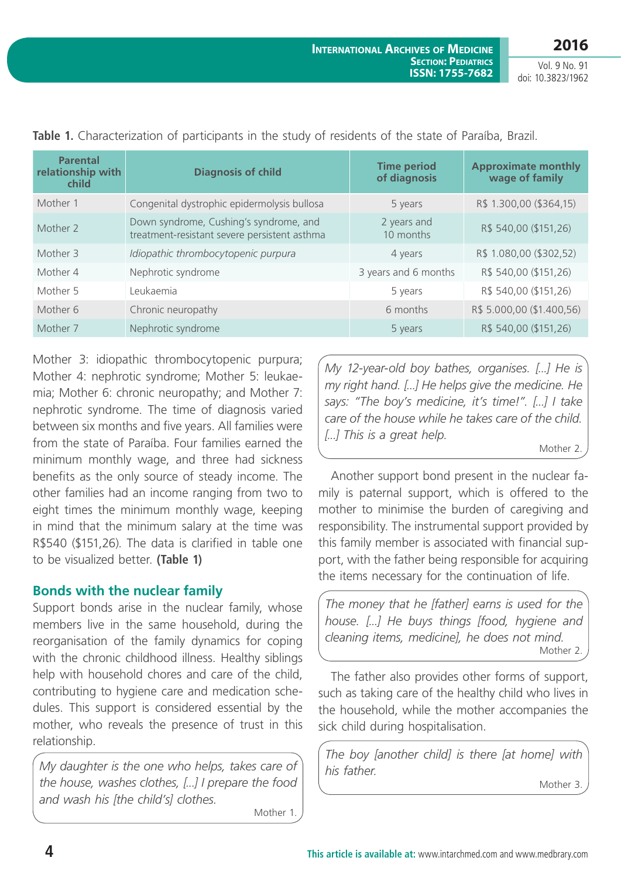| <b>Parental</b><br>relationship with<br>child | <b>Diagnosis of child</b>                                                              | <b>Time period</b><br>of diagnosis | <b>Approximate monthly</b><br>wage of family |
|-----------------------------------------------|----------------------------------------------------------------------------------------|------------------------------------|----------------------------------------------|
| Mother 1                                      | Congenital dystrophic epidermolysis bullosa                                            | 5 years                            | R\$ 1.300,00 (\$364,15)                      |
| Mother 2                                      | Down syndrome, Cushing's syndrome, and<br>treatment-resistant severe persistent asthma | 2 years and<br>10 months           | R\$ 540,00 (\$151,26)                        |
| Mother 3                                      | Idiopathic thrombocytopenic purpura                                                    | 4 years                            | R\$ 1.080,00 (\$302,52)                      |
| Mother 4                                      | Nephrotic syndrome                                                                     | 3 years and 6 months               | R\$ 540,00 (\$151,26)                        |
| Mother 5                                      | Leukaemia                                                                              | 5 years                            | R\$ 540,00 (\$151,26)                        |
| Mother 6                                      | Chronic neuropathy                                                                     | 6 months                           | R\$ 5.000,00 (\$1.400,56)                    |
| Mother 7                                      | Nephrotic syndrome                                                                     | 5 years                            | R\$ 540,00 (\$151,26)                        |

Mother 3: idiopathic thrombocytopenic purpura; Mother 4: nephrotic syndrome; Mother 5: leukaemia; Mother 6: chronic neuropathy; and Mother 7: nephrotic syndrome. The time of diagnosis varied between six months and five years. All families were from the state of Paraíba. Four families earned the minimum monthly wage, and three had sickness benefits as the only source of steady income. The other families had an income ranging from two to eight times the minimum monthly wage, keeping in mind that the minimum salary at the time was R\$540 (\$151,26). The data is clarified in table one to be visualized better. **(Table 1)**

### **Bonds with the nuclear family**

Support bonds arise in the nuclear family, whose members live in the same household, during the reorganisation of the family dynamics for coping with the chronic childhood illness. Healthy siblings help with household chores and care of the child, contributing to hygiene care and medication schedules. This support is considered essential by the mother, who reveals the presence of trust in this relationship.

*My daughter is the one who helps, takes care of the house, washes clothes, [...] I prepare the food and wash his [the child's] clothes.*

Mother 1.

*My 12-year-old boy bathes, organises. [...] He is my right hand. [...] He helps give the medicine. He says: "The boy's medicine, it's time!". [...] I take care of the house while he takes care of the child. [...] This is a great help.*

Mother 2.

Another support bond present in the nuclear family is paternal support, which is offered to the mother to minimise the burden of caregiving and responsibility. The instrumental support provided by this family member is associated with financial support, with the father being responsible for acquiring the items necessary for the continuation of life.

*The money that he [father] earns is used for the house. [...] He buys things [food, hygiene and cleaning items, medicine], he does not mind.* Mother 2.

The father also provides other forms of support, such as taking care of the healthy child who lives in the household, while the mother accompanies the sick child during hospitalisation.

*The boy [another child] is there [at home] with his father.*

Mother 3.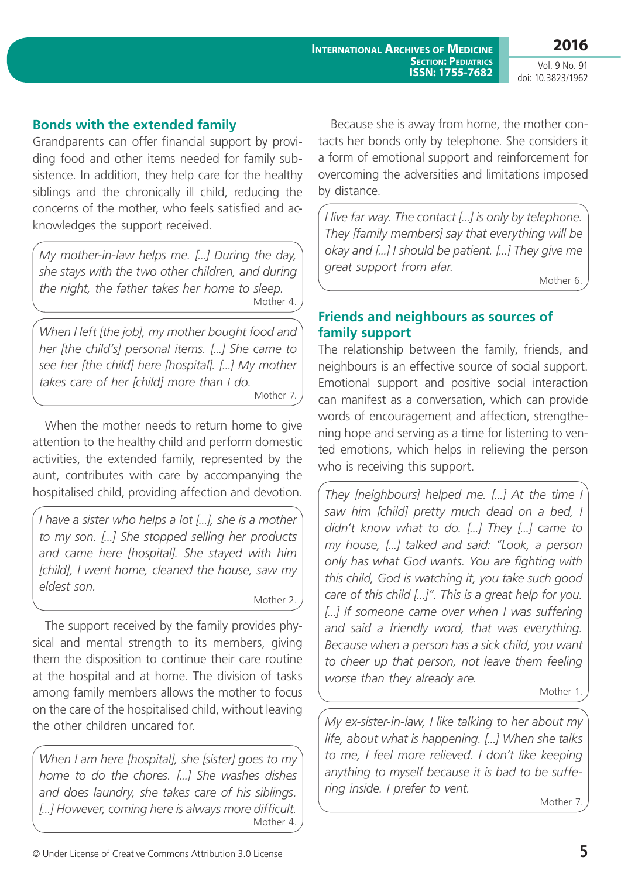## **Bonds with the extended family**

Grandparents can offer financial support by providing food and other items needed for family subsistence. In addition, they help care for the healthy siblings and the chronically ill child, reducing the concerns of the mother, who feels satisfied and acknowledges the support received.

*My mother-in-law helps me. [...] During the day, she stays with the two other children, and during the night, the father takes her home to sleep.* Mother 4.

*When I left [the job], my mother bought food and her [the child's] personal items. [...] She came to see her [the child] here [hospital]. [...] My mother takes care of her [child] more than I do.* Mother 7.

When the mother needs to return home to give attention to the healthy child and perform domestic activities, the extended family, represented by the aunt, contributes with care by accompanying the hospitalised child, providing affection and devotion.

*I have a sister who helps a lot [...], she is a mother to my son. [...] She stopped selling her products and came here [hospital]. She stayed with him [child], I went home, cleaned the house, saw my eldest son.*

Mother 2.

The support received by the family provides physical and mental strength to its members, giving them the disposition to continue their care routine at the hospital and at home. The division of tasks among family members allows the mother to focus on the care of the hospitalised child, without leaving the other children uncared for.

*When I am here [hospital], she [sister] goes to my home to do the chores. [...] She washes dishes and does laundry, she takes care of his siblings. [...] However, coming here is always more difficult.* Mother 4.

Because she is away from home, the mother contacts her bonds only by telephone. She considers it a form of emotional support and reinforcement for overcoming the adversities and limitations imposed by distance.

*I live far way. The contact [...] is only by telephone. They [family members] say that everything will be okay and [...] I should be patient. [...] They give me great support from afar.*

Mother 6.

## **Friends and neighbours as sources of family support**

The relationship between the family, friends, and neighbours is an effective source of social support. Emotional support and positive social interaction can manifest as a conversation, which can provide words of encouragement and affection, strengthening hope and serving as a time for listening to vented emotions, which helps in relieving the person who is receiving this support.

*They [neighbours] helped me. [...] At the time I saw him [child] pretty much dead on a bed, I didn't know what to do. [...] They [...] came to my house, [...] talked and said: "Look, a person only has what God wants. You are fighting with this child, God is watching it, you take such good care of this child [...]". This is a great help for you.*  [...] If someone came over when I was suffering *and said a friendly word, that was everything. Because when a person has a sick child, you want to cheer up that person, not leave them feeling worse than they already are.*

Mother 1.

*My ex-sister-in-law, I like talking to her about my life, about what is happening. [...] When she talks to me, I feel more relieved. I don't like keeping anything to myself because it is bad to be suffering inside. I prefer to vent.*

Mother 7.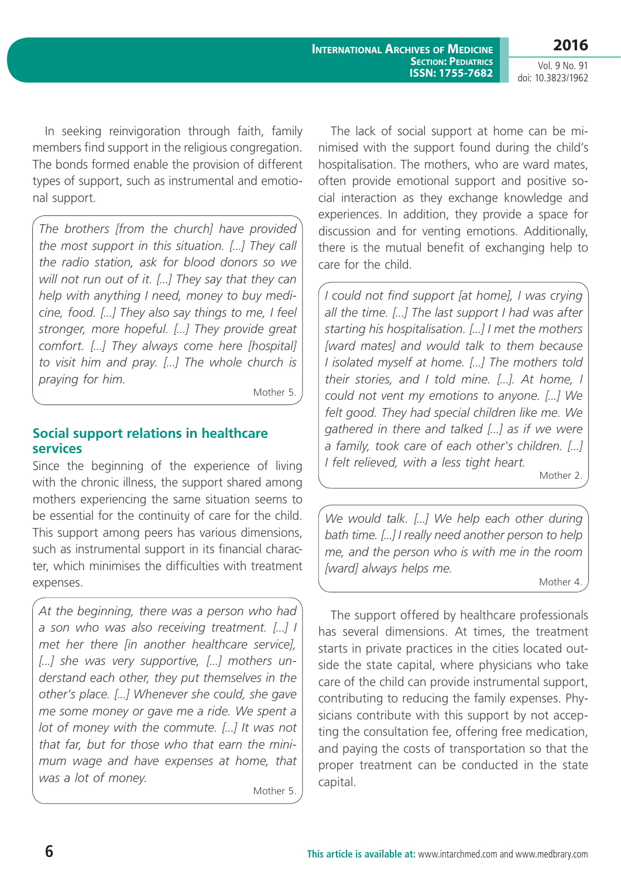**2016**

Vol. 9 No. 91 doi: 10.3823/1962

In seeking reinvigoration through faith, family members find support in the religious congregation. The bonds formed enable the provision of different types of support, such as instrumental and emotional support.

*The brothers [from the church] have provided the most support in this situation. [...] They call the radio station, ask for blood donors so we will not run out of it. [...] They say that they can help with anything I need, money to buy medicine, food. [...] They also say things to me, I feel stronger, more hopeful. [...] They provide great comfort. [...] They always come here [hospital] to visit him and pray. [...] The whole church is praying for him.*

Mother 5.

## **Social support relations in healthcare services**

Since the beginning of the experience of living with the chronic illness, the support shared among mothers experiencing the same situation seems to be essential for the continuity of care for the child. This support among peers has various dimensions, such as instrumental support in its financial character, which minimises the difficulties with treatment expenses.

*At the beginning, there was a person who had a son who was also receiving treatment. [...] I met her there [in another healthcare service], [...] she was very supportive, [...] mothers understand each other, they put themselves in the other's place. [...] Whenever she could, she gave me some money or gave me a ride. We spent a lot of money with the commute. [...] It was not that far, but for those who that earn the minimum wage and have expenses at home, that was a lot of money.*

Mother 5.

The lack of social support at home can be minimised with the support found during the child's hospitalisation. The mothers, who are ward mates, often provide emotional support and positive social interaction as they exchange knowledge and experiences. In addition, they provide a space for discussion and for venting emotions. Additionally, there is the mutual benefit of exchanging help to care for the child.

*I could not find support [at home], I was crying all the time. [...] The last support I had was after starting his hospitalisation. [...] I met the mothers [ward mates] and would talk to them because I isolated myself at home. [...] The mothers told their stories, and I told mine. [...]. At home, I could not vent my emotions to anyone. [...] We felt good. They had special children like me. We gathered in there and talked [...] as if we were a family, took care of each other's children. [...] I felt relieved, with a less tight heart.*

Mother 2.

*We would talk. [...] We help each other during bath time. [...] I really need another person to help me, and the person who is with me in the room [ward] always helps me.*

Mother 4.

The support offered by healthcare professionals has several dimensions. At times, the treatment starts in private practices in the cities located outside the state capital, where physicians who take care of the child can provide instrumental support, contributing to reducing the family expenses. Physicians contribute with this support by not accepting the consultation fee, offering free medication, and paying the costs of transportation so that the proper treatment can be conducted in the state capital.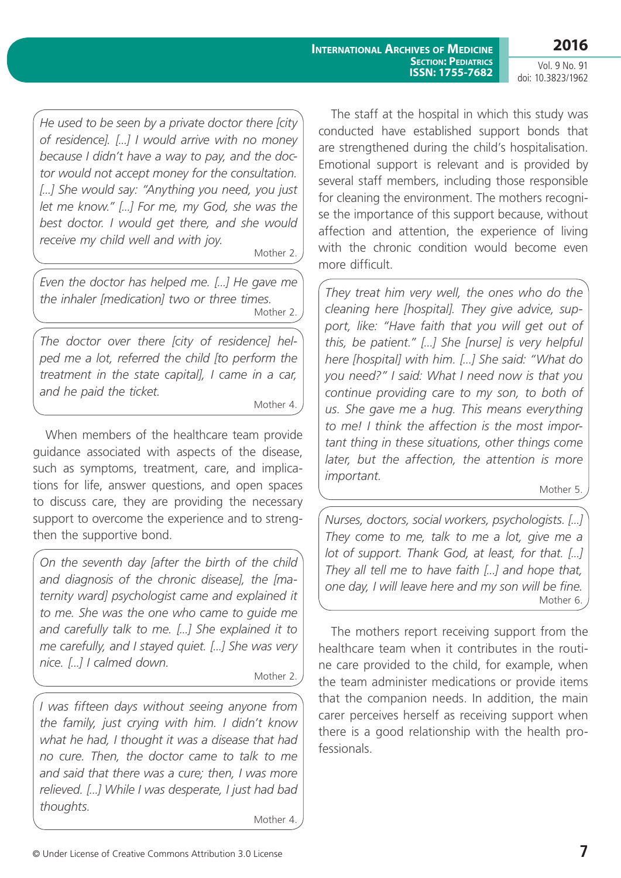**2016**

Vol. 9 No. 91 doi: 10.3823/1962

*He used to be seen by a private doctor there [city of residence]. [...] I would arrive with no money because I didn't have a way to pay, and the doctor would not accept money for the consultation. [...] She would say: "Anything you need, you just let me know." [...] For me, my God, she was the best doctor. I would get there, and she would receive my child well and with joy.*

Mother 2.

*Even the doctor has helped me. [...] He gave me the inhaler [medication] two or three times.* Mother 2.

*The doctor over there [city of residence] helped me a lot, referred the child [to perform the treatment in the state capital], I came in a car, and he paid the ticket.*

Mother 4.

When members of the healthcare team provide guidance associated with aspects of the disease, such as symptoms, treatment, care, and implications for life, answer questions, and open spaces to discuss care, they are providing the necessary support to overcome the experience and to strengthen the supportive bond.

*On the seventh day [after the birth of the child and diagnosis of the chronic disease], the [maternity ward] psychologist came and explained it to me. She was the one who came to guide me and carefully talk to me. [...] She explained it to me carefully, and I stayed quiet. [...] She was very nice. [...] I calmed down.*

Mother 2.

*I was fifteen days without seeing anyone from the family, just crying with him. I didn't know what he had, I thought it was a disease that had no cure. Then, the doctor came to talk to me and said that there was a cure; then, I was more relieved. [...] While I was desperate, I just had bad thoughts.*

Mother 4.

The staff at the hospital in which this study was conducted have established support bonds that are strengthened during the child's hospitalisation. Emotional support is relevant and is provided by several staff members, including those responsible for cleaning the environment. The mothers recognise the importance of this support because, without affection and attention, the experience of living with the chronic condition would become even more difficult.

*They treat him very well, the ones who do the cleaning here [hospital]. They give advice, support, like: "Have faith that you will get out of this, be patient." [...] She [nurse] is very helpful here [hospital] with him. [...] She said: "What do you need?" I said: What I need now is that you continue providing care to my son, to both of us. She gave me a hug. This means everything to me! I think the affection is the most important thing in these situations, other things come later, but the affection, the attention is more important.*

Mother 5.

*Nurses, doctors, social workers, psychologists. [...] They come to me, talk to me a lot, give me a lot of support. Thank God, at least, for that. [...] They all tell me to have faith [...] and hope that, one day, I will leave here and my son will be fine.* Mother 6.

The mothers report receiving support from the healthcare team when it contributes in the routine care provided to the child, for example, when the team administer medications or provide items that the companion needs. In addition, the main carer perceives herself as receiving support when there is a good relationship with the health professionals.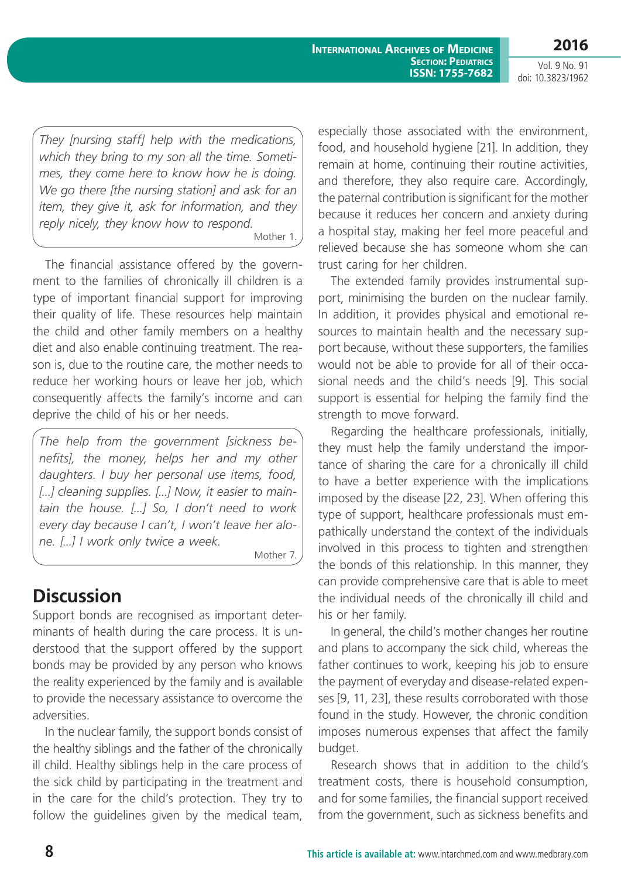**2016**

Vol. 9 No. 91 doi: 10.3823/1962

*They [nursing staff] help with the medications, which they bring to my son all the time. Sometimes, they come here to know how he is doing. We go there [the nursing station] and ask for an item, they give it, ask for information, and they reply nicely, they know how to respond.* Mother 1.

The financial assistance offered by the government to the families of chronically ill children is a type of important financial support for improving their quality of life. These resources help maintain the child and other family members on a healthy diet and also enable continuing treatment. The reason is, due to the routine care, the mother needs to reduce her working hours or leave her job, which consequently affects the family's income and can deprive the child of his or her needs.

*The help from the government [sickness benefits], the money, helps her and my other daughters. I buy her personal use items, food, [...] cleaning supplies. [...] Now, it easier to maintain the house. [...] So, I don't need to work every day because I can't, I won't leave her alone. [...] I work only twice a week.*

Mother 7.

# **Discussion**

Support bonds are recognised as important determinants of health during the care process. It is understood that the support offered by the support bonds may be provided by any person who knows the reality experienced by the family and is available to provide the necessary assistance to overcome the adversities.

In the nuclear family, the support bonds consist of the healthy siblings and the father of the chronically ill child. Healthy siblings help in the care process of the sick child by participating in the treatment and in the care for the child's protection. They try to follow the guidelines given by the medical team, especially those associated with the environment, food, and household hygiene [21]. In addition, they remain at home, continuing their routine activities, and therefore, they also require care. Accordingly, the paternal contribution is significant for the mother because it reduces her concern and anxiety during a hospital stay, making her feel more peaceful and relieved because she has someone whom she can trust caring for her children.

The extended family provides instrumental support, minimising the burden on the nuclear family. In addition, it provides physical and emotional resources to maintain health and the necessary support because, without these supporters, the families would not be able to provide for all of their occasional needs and the child's needs [9]. This social support is essential for helping the family find the strength to move forward.

Regarding the healthcare professionals, initially, they must help the family understand the importance of sharing the care for a chronically ill child to have a better experience with the implications imposed by the disease [22, 23]. When offering this type of support, healthcare professionals must empathically understand the context of the individuals involved in this process to tighten and strengthen the bonds of this relationship. In this manner, they can provide comprehensive care that is able to meet the individual needs of the chronically ill child and his or her family.

In general, the child's mother changes her routine and plans to accompany the sick child, whereas the father continues to work, keeping his job to ensure the payment of everyday and disease-related expenses [9, 11, 23], these results corroborated with those found in the study. However, the chronic condition imposes numerous expenses that affect the family budget.

Research shows that in addition to the child's treatment costs, there is household consumption, and for some families, the financial support received from the government, such as sickness benefits and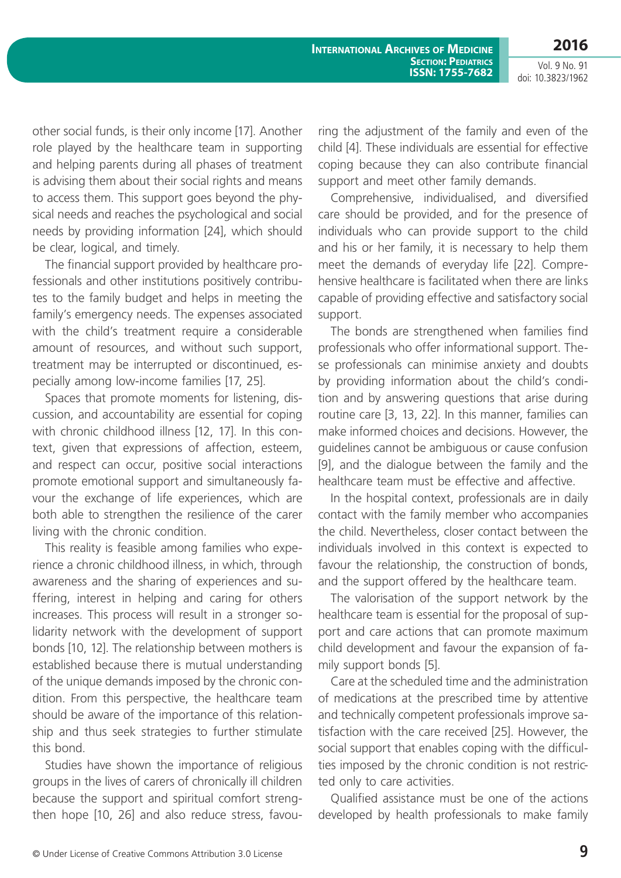**2016**

Vol. 9 No. 91 doi: 10.3823/1962

other social funds, is their only income [17]. Another role played by the healthcare team in supporting and helping parents during all phases of treatment is advising them about their social rights and means to access them. This support goes beyond the physical needs and reaches the psychological and social needs by providing information [24], which should be clear, logical, and timely.

The financial support provided by healthcare professionals and other institutions positively contributes to the family budget and helps in meeting the family's emergency needs. The expenses associated with the child's treatment require a considerable amount of resources, and without such support, treatment may be interrupted or discontinued, especially among low-income families [17, 25].

Spaces that promote moments for listening, discussion, and accountability are essential for coping with chronic childhood illness [12, 17]. In this context, given that expressions of affection, esteem, and respect can occur, positive social interactions promote emotional support and simultaneously favour the exchange of life experiences, which are both able to strengthen the resilience of the carer living with the chronic condition.

This reality is feasible among families who experience a chronic childhood illness, in which, through awareness and the sharing of experiences and suffering, interest in helping and caring for others increases. This process will result in a stronger solidarity network with the development of support bonds [10, 12]. The relationship between mothers is established because there is mutual understanding of the unique demands imposed by the chronic condition. From this perspective, the healthcare team should be aware of the importance of this relationship and thus seek strategies to further stimulate this bond.

Studies have shown the importance of religious groups in the lives of carers of chronically ill children because the support and spiritual comfort strengthen hope [10, 26] and also reduce stress, favouring the adjustment of the family and even of the child [4]. These individuals are essential for effective coping because they can also contribute financial support and meet other family demands.

Comprehensive, individualised, and diversified care should be provided, and for the presence of individuals who can provide support to the child and his or her family, it is necessary to help them meet the demands of everyday life [22]. Comprehensive healthcare is facilitated when there are links capable of providing effective and satisfactory social support.

The bonds are strengthened when families find professionals who offer informational support. These professionals can minimise anxiety and doubts by providing information about the child's condition and by answering questions that arise during routine care [3, 13, 22]. In this manner, families can make informed choices and decisions. However, the guidelines cannot be ambiguous or cause confusion [9], and the dialogue between the family and the healthcare team must be effective and affective.

In the hospital context, professionals are in daily contact with the family member who accompanies the child. Nevertheless, closer contact between the individuals involved in this context is expected to favour the relationship, the construction of bonds, and the support offered by the healthcare team.

The valorisation of the support network by the healthcare team is essential for the proposal of support and care actions that can promote maximum child development and favour the expansion of family support bonds [5].

Care at the scheduled time and the administration of medications at the prescribed time by attentive and technically competent professionals improve satisfaction with the care received [25]. However, the social support that enables coping with the difficulties imposed by the chronic condition is not restricted only to care activities.

Qualified assistance must be one of the actions developed by health professionals to make family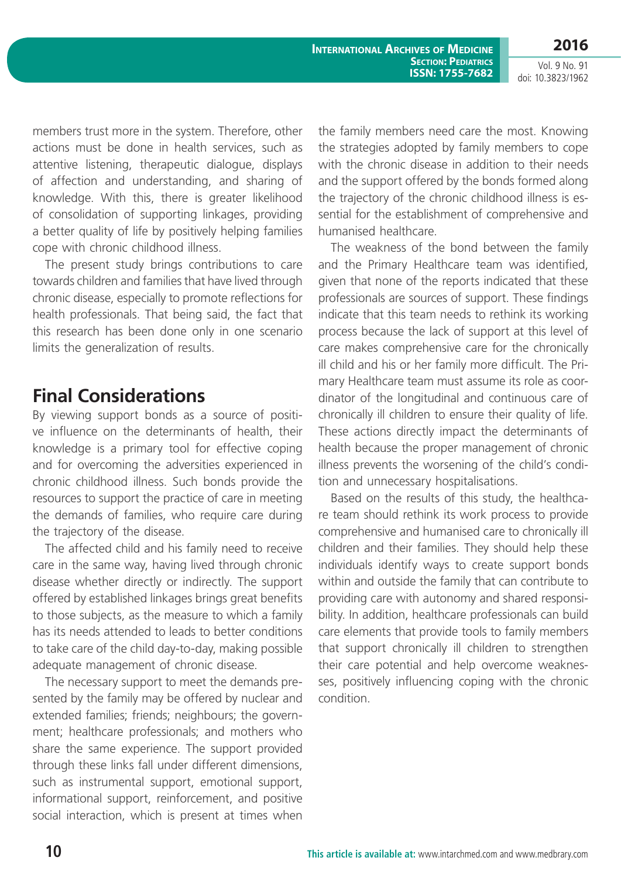**2016**

Vol. 9 No. 91 doi: 10.3823/1962

members trust more in the system. Therefore, other actions must be done in health services, such as attentive listening, therapeutic dialogue, displays of affection and understanding, and sharing of knowledge. With this, there is greater likelihood of consolidation of supporting linkages, providing a better quality of life by positively helping families cope with chronic childhood illness.

The present study brings contributions to care towards children and families that have lived through chronic disease, especially to promote reflections for health professionals. That being said, the fact that this research has been done only in one scenario limits the generalization of results.

# **Final Considerations**

By viewing support bonds as a source of positive influence on the determinants of health, their knowledge is a primary tool for effective coping and for overcoming the adversities experienced in chronic childhood illness. Such bonds provide the resources to support the practice of care in meeting the demands of families, who require care during the trajectory of the disease.

The affected child and his family need to receive care in the same way, having lived through chronic disease whether directly or indirectly. The support offered by established linkages brings great benefits to those subjects, as the measure to which a family has its needs attended to leads to better conditions to take care of the child day-to-day, making possible adequate management of chronic disease.

The necessary support to meet the demands presented by the family may be offered by nuclear and extended families; friends; neighbours; the government; healthcare professionals; and mothers who share the same experience. The support provided through these links fall under different dimensions, such as instrumental support, emotional support, informational support, reinforcement, and positive social interaction, which is present at times when the family members need care the most. Knowing the strategies adopted by family members to cope with the chronic disease in addition to their needs and the support offered by the bonds formed along the trajectory of the chronic childhood illness is essential for the establishment of comprehensive and humanised healthcare.

The weakness of the bond between the family and the Primary Healthcare team was identified, given that none of the reports indicated that these professionals are sources of support. These findings indicate that this team needs to rethink its working process because the lack of support at this level of care makes comprehensive care for the chronically ill child and his or her family more difficult. The Primary Healthcare team must assume its role as coordinator of the longitudinal and continuous care of chronically ill children to ensure their quality of life. These actions directly impact the determinants of health because the proper management of chronic illness prevents the worsening of the child's condition and unnecessary hospitalisations.

Based on the results of this study, the healthcare team should rethink its work process to provide comprehensive and humanised care to chronically ill children and their families. They should help these individuals identify ways to create support bonds within and outside the family that can contribute to providing care with autonomy and shared responsibility. In addition, healthcare professionals can build care elements that provide tools to family members that support chronically ill children to strengthen their care potential and help overcome weaknesses, positively influencing coping with the chronic condition.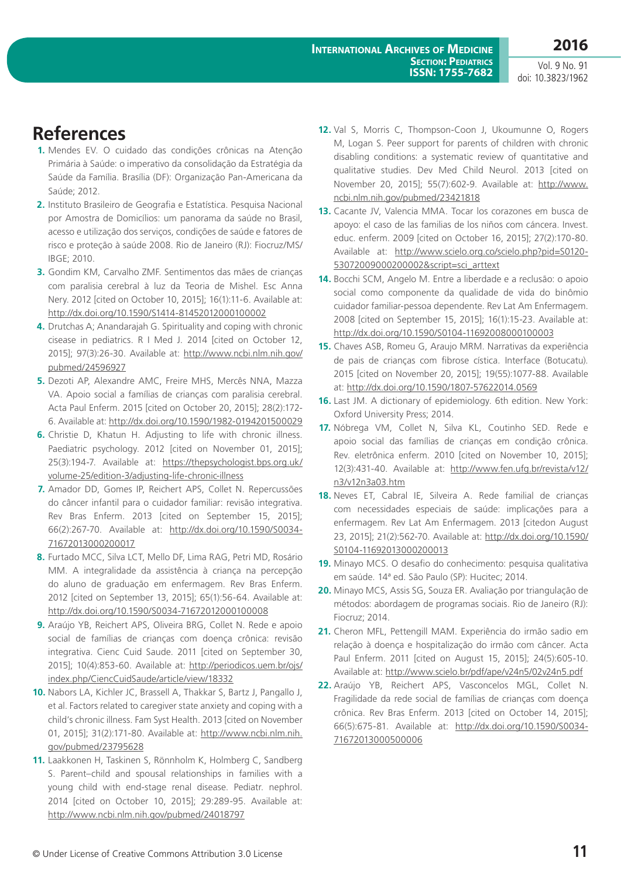# **References**

- **1.** Mendes EV. O cuidado das condições crônicas na Atenção Primária à Saúde: o imperativo da consolidação da Estratégia da Saúde da Família. Brasília (DF): Organização Pan-Americana da Saúde; 2012.
- **2.** Instituto Brasileiro de Geografia e Estatística. Pesquisa Nacional por Amostra de Domicílios: um panorama da saúde no Brasil, acesso e utilização dos serviços, condições de saúde e fatores de risco e proteção à saúde 2008. Rio de Janeiro (RJ): Fiocruz/MS/ IBGE; 2010.
- **3.** Gondim KM, Carvalho ZMF. Sentimentos das mães de crianças com paralisia cerebral à luz da Teoria de Mishel. Esc Anna Nery. 2012 [cited on October 10, 2015]; 16(1):11-6. Available at: <http://dx.doi.org/10.1590/S1414-81452012000100002>
- **4.** Drutchas A; Anandarajah G. Spirituality and coping with chronic cisease in pediatrics. R I Med J. 2014 [cited on October 12, 2015]; 97(3):26-30. Available at: [http://www.ncbi.nlm.nih.gov/](http://www.ncbi.nlm.nih.gov/pubmed/24596927) [pubmed/24596927](http://www.ncbi.nlm.nih.gov/pubmed/24596927)
- **5.** Dezoti AP, Alexandre AMC, Freire MHS, Mercês NNA, Mazza VA. Apoio social a famílias de crianças com paralisia cerebral. Acta Paul Enferm. 2015 [cited on October 20, 2015]; 28(2):172- 6. Available at:<http://dx.doi.org/10.1590/1982-0194201500029>
- **6.** Christie D, Khatun H. Adjusting to life with chronic illness. Paediatric psychology. 2012 [cited on November 01, 2015]; 25(3):194-7. Available at: [https://thepsychologist.bps.org.uk/](https://thepsychologist.bps.org.uk/volume-25/edition-3/adjusting-life-chronic-illness) [volume-25/edition-3/adjusting-life-chronic-illness](https://thepsychologist.bps.org.uk/volume-25/edition-3/adjusting-life-chronic-illness)
- **7.** Amador DD, Gomes IP, Reichert APS, Collet N. Repercussões do câncer infantil para o cuidador familiar: revisão integrativa. Rev Bras Enferm. 2013 [cited on September 15, 2015]; 66(2):267-70. Available at: [http://dx.doi.org/10.1590/S0034-](http://dx.doi.org/10.1590/S0034-71672013000200017) [71672013000200017](http://dx.doi.org/10.1590/S0034-71672013000200017)
- **8.** Furtado MCC, Silva LCT, Mello DF, Lima RAG, Petri MD, Rosário MM. A integralidade da assistência à criança na percepção do aluno de graduação em enfermagem. Rev Bras Enferm. 2012 [cited on September 13, 2015]; 65(1):56-64. Available at: <http://dx.doi.org/10.1590/S0034-71672012000100008>
- **9.** Araújo YB, Reichert APS, Oliveira BRG, Collet N. Rede e apoio social de famílias de crianças com doença crônica: revisão integrativa. Cienc Cuid Saude. 2011 [cited on September 30, 2015]; 10(4):853-60. Available at: [http://periodicos.uem.br/ojs/](http://periodicos.uem.br/ojs/index.php/CiencCuidSaude/article/view/18332) [index.php/CiencCuidSaude/article/view/18332](http://periodicos.uem.br/ojs/index.php/CiencCuidSaude/article/view/18332)
- **10.** Nabors LA, Kichler JC, Brassell A, Thakkar S, Bartz J, Pangallo J, et al. Factors related to caregiver state anxiety and coping with a child's chronic illness. Fam Syst Health. 2013 [cited on November 01, 2015]; 31(2):171-80. Available at: [http://www.ncbi.nlm.nih.](http://www.ncbi.nlm.nih.gov/pubmed/23795628) [gov/pubmed/23795628](http://www.ncbi.nlm.nih.gov/pubmed/23795628)
- **11.** Laakkonen H, Taskinen S, Rönnholm K, Holmberg C, Sandberg S. Parent–child and spousal relationships in families with a young child with end-stage renal disease. Pediatr. nephrol. 2014 [cited on October 10, 2015]; 29:289-95. Available at: <http://www.ncbi.nlm.nih.gov/pubmed/24018797>
- **12.** Val S, Morris C, Thompson-Coon J, Ukoumunne O, Rogers M, Logan S. Peer support for parents of children with chronic disabling conditions: a systematic review of quantitative and qualitative studies. Dev Med Child Neurol. 2013 [cited on November 20, 2015]; 55(7):602-9. Available at: [http://www.](http://www.ncbi.nlm.nih.gov/pubmed/23421818) [ncbi.nlm.nih.gov/pubmed/23421818](http://www.ncbi.nlm.nih.gov/pubmed/23421818)
- **13.** Cacante JV, Valencia MMA. Tocar los corazones em busca de apoyo: el caso de las familias de los niños com cáncera. Invest. educ. enferm. 2009 [cited on October 16, 2015]; 27(2):170-80. Available at: [http://www.scielo.org.co/scielo.php?pid=S0120-](http://www.scielo.org.co/scielo.php?pid=S0120-53072009000200002&script=sci_arttext) [53072009000200002&script=sci\\_arttext](http://www.scielo.org.co/scielo.php?pid=S0120-53072009000200002&script=sci_arttext)
- **14.** Bocchi SCM, Angelo M. Entre a liberdade e a reclusão: o apoio social como componente da qualidade de vida do binômio cuidador familiar-pessoa dependente. Rev Lat Am Enfermagem. 2008 [cited on September 15, 2015]; 16(1):15-23. Available at: <http://dx.doi.org/10.1590/S0104-11692008000100003>
- **15.** Chaves ASB, Romeu G, Araujo MRM. Narrativas da experiência de pais de crianças com fibrose cística. Interface (Botucatu). 2015 [cited on November 20, 2015]; 19(55):1077-88. Available at: <http://dx.doi.org/10.1590/1807-57622014.0569>
- **16.** Last JM. A dictionary of epidemiology. 6th edition. New York: Oxford University Press; 2014.
- **17.** Nóbrega VM, Collet N, Silva KL, Coutinho SED. Rede e apoio social das famílias de crianças em condição crônica. Rev. eletrônica enferm. 2010 [cited on November 10, 2015]; 12(3):431-40. Available at: [http://www.fen.ufg.br/revista/v12/](http://www.fen.ufg.br/revista/v12/n3/v12n3a03.htm) [n3/v12n3a03.htm](http://www.fen.ufg.br/revista/v12/n3/v12n3a03.htm)
- **18.** Neves ET, Cabral IE, Silveira A. Rede familial de crianças com necessidades especiais de saúde: implicações para a enfermagem. Rev Lat Am Enfermagem. 2013 [citedon August 23, 2015]; 21(2):562-70. Available at: [http://dx.doi.org/10.1590/](http://dx.doi.org/10.1590/S0104-11692013000200013) [S0104-11692013000200013](http://dx.doi.org/10.1590/S0104-11692013000200013)
- **19.** Minayo MCS. O desafio do conhecimento: pesquisa qualitativa em saúde. 14ª ed. São Paulo (SP): Hucitec; 2014.
- **20.** Minayo MCS, Assis SG, Souza ER. Avaliação por triangulação de métodos: abordagem de programas sociais. Rio de Janeiro (RJ): Fiocruz; 2014.
- **21.** Cheron MFL, Pettengill MAM. Experiência do irmão sadio em relação à doença e hospitalização do irmão com câncer. Acta Paul Enferm. 2011 [cited on August 15, 2015]; 24(5):605-10. Available at: <http://www.scielo.br/pdf/ape/v24n5/02v24n5.pdf>
- **22.** Araújo YB, Reichert APS, Vasconcelos MGL, Collet N. Fragilidade da rede social de famílias de crianças com doença crônica. Rev Bras Enferm. 2013 [cited on October 14, 2015]; 66(5):675-81. Available at: [http://dx.doi.org/10.1590/S0034-](http://dx.doi.org/10.1590/S0034-71672013000500006) [71672013000500006](http://dx.doi.org/10.1590/S0034-71672013000500006)